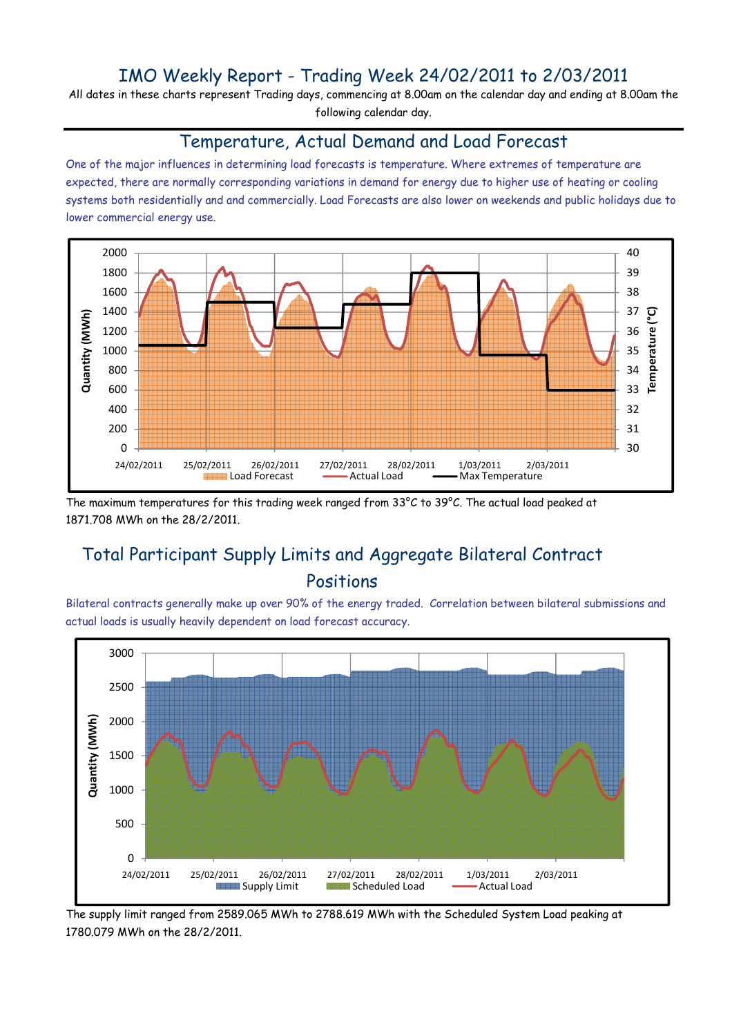## IMO Weekly Report - Trading Week 24/02/2011 to 2/03/2011

All dates in these charts represent Trading days, commencing at 8.00am on the calendar day and ending at 8.00am the following calendar day.

#### Temperature, Actual Demand and Load Forecast

One of the major influences in determining load forecasts is temperature. Where extremes of temperature are expected, there are normally corresponding variations in demand for energy due to higher use of heating or cooling systems both residentially and and commercially. Load Forecasts are also lower on weekends and public holidays due to lower commercial energy use.



The maximum temperatures for this trading week ranged from 33°C to 39°C. The actual load peaked at 1871.708 MWh on the 28/2/2011.

# Total Participant Supply Limits and Aggregate Bilateral Contract Positions

Bilateral contracts generally make up over 90% of the energy traded. Correlation between bilateral submissions and actual loads is usually heavily dependent on load forecast accuracy.



The supply limit ranged from 2589.065 MWh to 2788.619 MWh with the Scheduled System Load peaking at 1780.079 MWh on the 28/2/2011.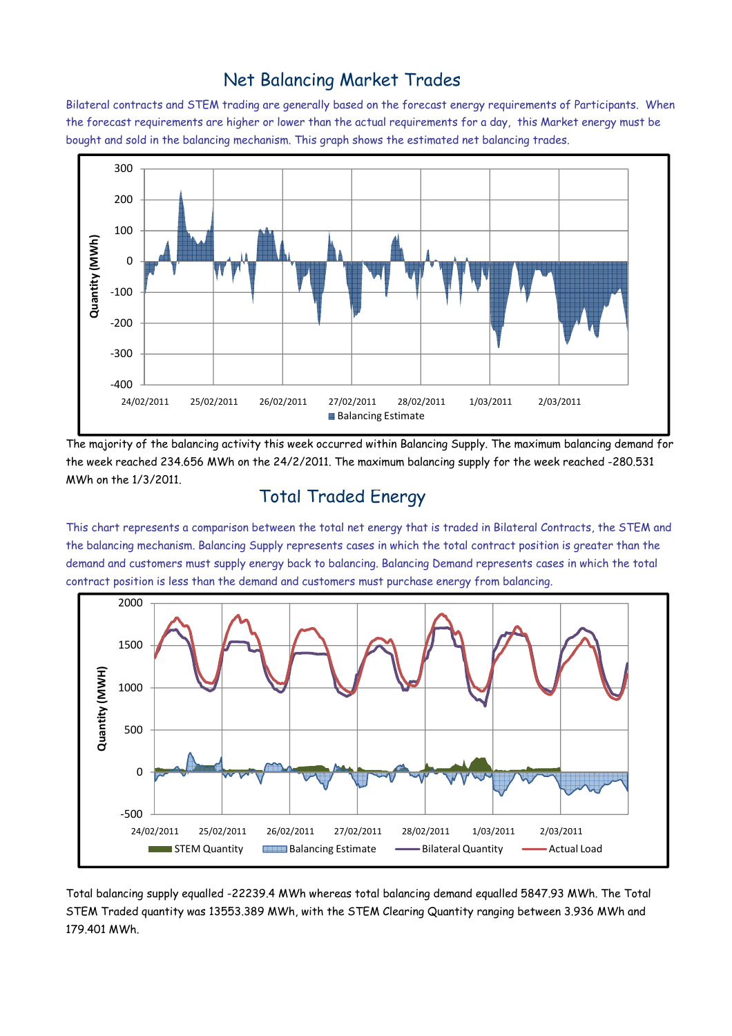### Net Balancing Market Trades

Bilateral contracts and STEM trading are generally based on the forecast energy requirements of Participants. When the forecast requirements are higher or lower than the actual requirements for a day, this Market energy must be bought and sold in the balancing mechanism. This graph shows the estimated net balancing trades.



The majority of the balancing activity this week occurred within Balancing Supply. The maximum balancing demand for the week reached 234.656 MWh on the 24/2/2011. The maximum balancing supply for the week reached -280.531 MWh on the 1/3/2011.

### Total Traded Energy

This chart represents a comparison between the total net energy that is traded in Bilateral Contracts, the STEM and the balancing mechanism. Balancing Supply represents cases in which the total contract position is greater than the demand and customers must supply energy back to balancing. Balancing Demand represents cases in which the total contract position is less than the demand and customers must purchase energy from balancing.



Total balancing supply equalled -22239.4 MWh whereas total balancing demand equalled 5847.93 MWh. The Total STEM Traded quantity was 13553.389 MWh, with the STEM Clearing Quantity ranging between 3.936 MWh and 179.401 MWh.